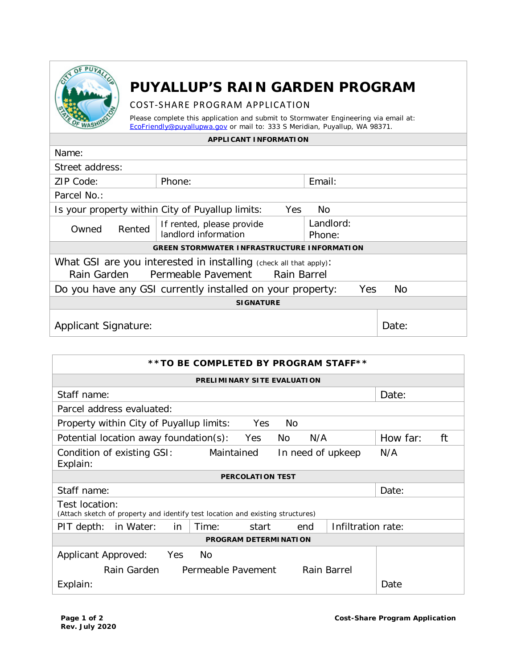

## **PUYALLUP'S RAIN GARDEN PROGRAM**

## COST-SHARE PROGRAM APPLICATION

Please complete this application and submit to Stormwater Engineering via email at: [EcoFriendly@puyallupwa.gov](mailto:EcoFriendly@puyallupwa.gov) or mail to: 333 S Meridian, Puyallup, WA 98371.

## **APPLICANT INFORMATION**

| Name:                                                                   |                           |           |           |  |
|-------------------------------------------------------------------------|---------------------------|-----------|-----------|--|
| Street address:                                                         |                           |           |           |  |
| ZIP Code:                                                               | Phone:                    | Email:    |           |  |
| Parcel No.:                                                             |                           |           |           |  |
| Is your property within City of Puyallup limits:<br>Yes<br>No           |                           |           |           |  |
| Rented<br>Owned                                                         | If rented, please provide | Landlord: |           |  |
|                                                                         | landlord information      | Phone:    |           |  |
| <b>GREEN STORMWATER INFRASTRUCTURE INFORMATION</b>                      |                           |           |           |  |
| What GSI are you interested in installing (check all that apply):       |                           |           |           |  |
| Rain Garden Permeable Pavement Rain Barrel                              |                           |           |           |  |
| Do you have any GSI currently installed on your property:<br><b>Yes</b> |                           |           | <b>No</b> |  |
| <b>SIGNATURE</b>                                                        |                           |           |           |  |
| <b>Applicant Signature:</b>                                             |                           |           | Date:     |  |

| **TO BE COMPLETED BY PROGRAM STAFF**                                                             |                |  |  |  |
|--------------------------------------------------------------------------------------------------|----------------|--|--|--|
| <b>PRELIMINARY SITE EVALUATION</b>                                                               |                |  |  |  |
| Staff name:                                                                                      | Date:          |  |  |  |
| Parcel address evaluated:                                                                        |                |  |  |  |
| Property within City of Puyallup limits:<br><b>Yes</b><br>No.                                    |                |  |  |  |
| N/A<br>Potential location away foundation(s):<br>Yes<br>No                                       | How far:<br>ft |  |  |  |
| Maintained<br>Condition of existing GSI:<br>In need of upkeep<br>Explain:                        | N/A            |  |  |  |
| <b>PERCOLATION TEST</b>                                                                          |                |  |  |  |
| Staff name:                                                                                      | Date:          |  |  |  |
| Test location:<br>(Attach sketch of property and identify test location and existing structures) |                |  |  |  |
| Infiltration rate:<br>Time:<br>PIT depth:<br>in Water:<br>in<br>start<br>end                     |                |  |  |  |
| <b>PROGRAM DETERMINATION</b>                                                                     |                |  |  |  |
| Yes<br>Applicant Approved:<br>No                                                                 |                |  |  |  |
| Permeable Pavement<br>Rain Garden<br>Rain Barrel                                                 |                |  |  |  |
| Explain:                                                                                         | Date           |  |  |  |